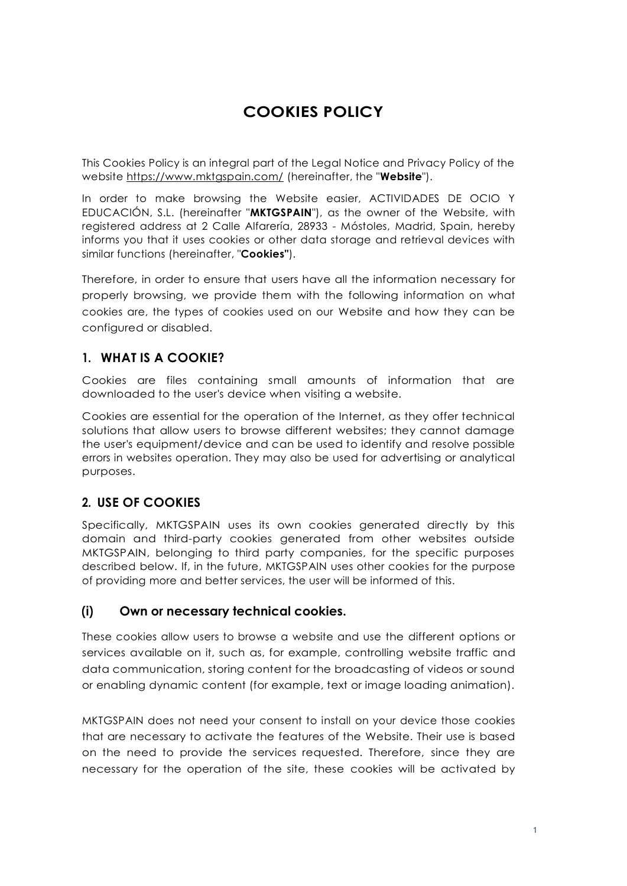# **COOKIES POLICY**

This Cookies Policy is an integral part of the Legal Notice and Privacy Policy of the website<https://www.mktgspain.com/> (hereinafter, the "**Website**").

In order to make browsing the Website easier, ACTIVIDADES DE OCIO Y EDUCACIÓN, S.L. (hereinafter "**MKTGSPAIN**"), as the owner of the Website, with registered address at 2 Calle Alfarería, 28933 - Móstoles, Madrid, Spain, hereby informs you that it uses cookies or other data storage and retrieval devices with similar functions (hereinafter, "**Cookies"**).

Therefore, in order to ensure that users have all the information necessary for properly browsing, we provide them with the following information on what cookies are, the types of cookies used on our Website and how they can be configured or disabled.

### **1. WHAT IS A COOKIE?**

Cookies are files containing small amounts of information that are downloaded to the user's device when visiting a website.

Cookies are essential for the operation of the Internet, as they offer technical solutions that allow users to browse different websites; they cannot damage the user's equipment/device and can be used to identify and resolve possible errors in websites operation. They may also be used for advertising or analytical purposes.

### **2. USE OF COOKIES**

Specifically, MKTGSPAIN uses its own cookies generated directly by this domain and third-party cookies generated from other websites outside MKTGSPAIN, belonging to third party companies, for the specific purposes described below. If, in the future, MKTGSPAIN uses other cookies for the purpose of providing more and better services, the user will be informed of this.

### **(i) Own or necessary technical cookies.**

These cookies allow users to browse a website and use the different options or services available on it, such as, for example, controlling website traffic and data communication, storing content for the broadcasting of videos or sound or enabling dynamic content (for example, text or image loading animation).

MKTGSPAIN does not need your consent to install on your device those cookies that are necessary to activate the features of the Website. Their use is based on the need to provide the services requested. Therefore, since they are necessary for the operation of the site, these cookies will be activated by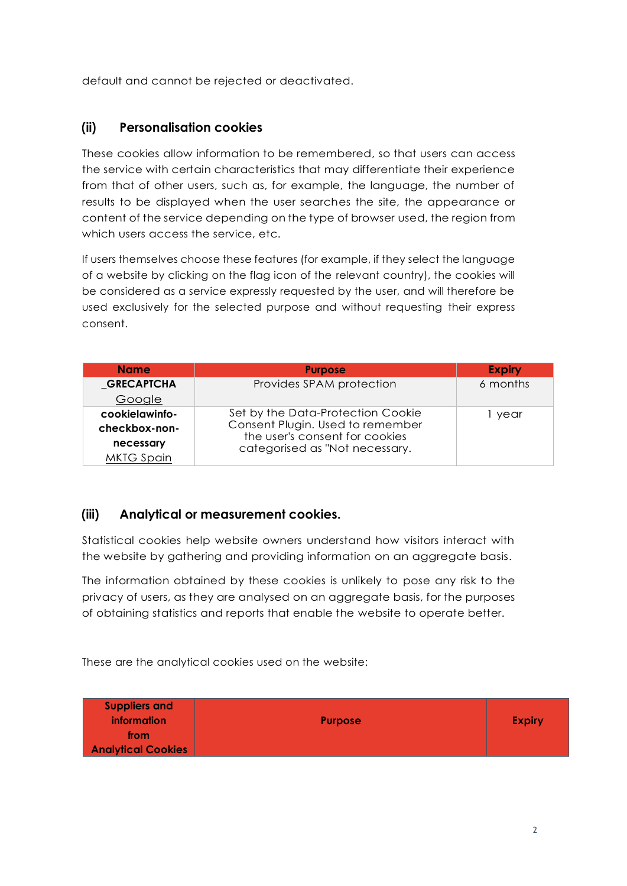default and cannot be rejected or deactivated.

#### **(ii) Personalisation cookies**

These cookies allow information to be remembered, so that users can access the service with certain characteristics that may differentiate their experience from that of other users, such as, for example, the language, the number of results to be displayed when the user searches the site, the appearance or content of the service depending on the type of browser used, the region from which users access the service, etc.

If users themselves choose these features (for example, if they select the language of a website by clicking on the flag icon of the relevant country), the cookies will be considered as a service expressly requested by the user, and will therefore be used exclusively for the selected purpose and without requesting their express consent.

| <b>Name</b>       | <b>Purpose</b>                                                                                                                            | <b>Expiry</b> |
|-------------------|-------------------------------------------------------------------------------------------------------------------------------------------|---------------|
| <b>GRECAPTCHA</b> | Provides SPAM protection                                                                                                                  | 6 months      |
| Google            |                                                                                                                                           |               |
| cookielawinfo-    | Set by the Data-Protection Cookie<br>Consent Plugin. Used to remember<br>the user's consent for cookies<br>categorised as "Not necessary. | year          |
| checkbox-non-     |                                                                                                                                           |               |
| necessary         |                                                                                                                                           |               |
| <b>MKTG Spain</b> |                                                                                                                                           |               |

### **(iii) Analytical or measurement cookies.**

Statistical cookies help website owners understand how visitors interact with the website by gathering and providing information on an aggregate basis.

The information obtained by these cookies is unlikely to pose any risk to the privacy of users, as they are analysed on an aggregate basis, for the purposes of obtaining statistics and reports that enable the website to operate better.

These are the analytical cookies used on the website:

| <b>Suppliers and</b><br><b>information</b><br>from<br><b>Analytical Cookies</b> | <b>Purpose</b> | <b>Expiry</b> |
|---------------------------------------------------------------------------------|----------------|---------------|
|---------------------------------------------------------------------------------|----------------|---------------|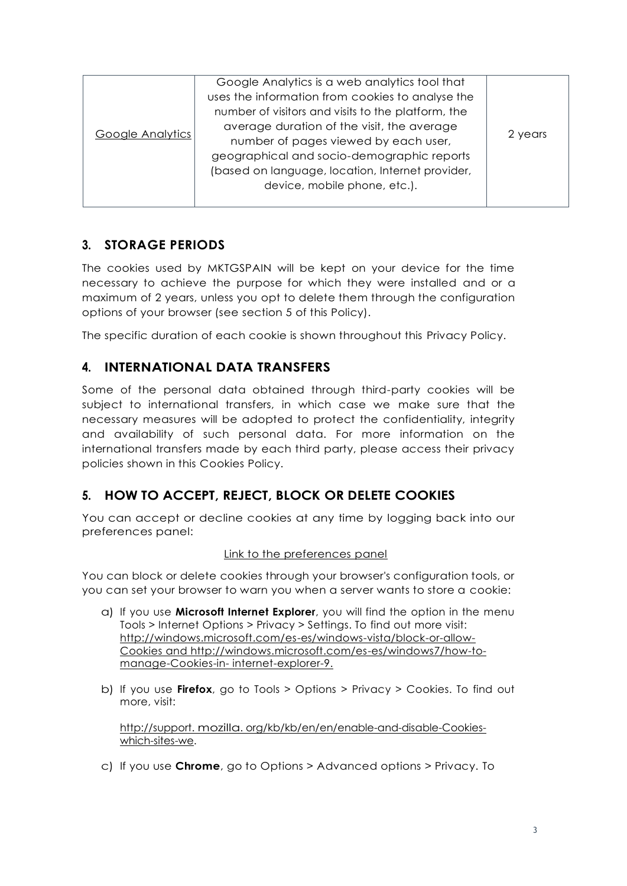| <b>Google Analytics</b> | Google Analytics is a web analytics tool that      |         |
|-------------------------|----------------------------------------------------|---------|
|                         | uses the information from cookies to analyse the   |         |
|                         | number of visitors and visits to the platform, the |         |
|                         | average duration of the visit, the average         | 2 years |
|                         | number of pages viewed by each user,               |         |
|                         | geographical and socio-demographic reports         |         |
|                         | (based on language, location, Internet provider,   |         |
|                         | device, mobile phone, etc.).                       |         |
|                         |                                                    |         |

## **3. STORAGE PERIODS**

The cookies used by MKTGSPAIN will be kept on your device for the time necessary to achieve the purpose for which they were installed and or a maximum of 2 years, unless you opt to delete them through the configuration options of your browser (see section 5 of this Policy).

The specific duration of each cookie is shown throughout this Privacy Policy.

### **4. INTERNATIONAL DATA TRANSFERS**

Some of the personal data obtained through third-party cookies will be subject to international transfers, in which case we make sure that the necessary measures will be adopted to protect the confidentiality, integrity and availability of such personal data. For more information on the international transfers made by each third party, please access their privacy policies shown in this Cookies Policy.

## **5. HOW TO ACCEPT, REJECT, BLOCK OR DELETE COOKIES**

You can accept or decline cookies at any time by logging back into our preferences panel:

#### Link to the preferences panel

You can block or delete cookies through your browser's configuration tools, or you can set your browser to warn you when a server wants to store a cookie:

- a) If you use **Microsoft Internet Explorer**, you will find the option in the menu Tools > Internet Options > Privacy > Settings. To find out more visit: [http://windows.microsoft.com/es-es/windows-vista/block-or-allow-](http://windows.microsoft.com/es-es/windows-vista/block-or-allow-Cookies)[Cookies](http://windows.microsoft.com/es-es/windows-vista/block-or-allow-Cookies) and http://windows.microsoft.com/es-es/windows7/how-tomanage-Cookies-in- [internet-explorer-9.](http://windows.microsoft.com/es-es/windows7/how-to-manage-Cookies-in-internet-explorer-9)
- b) If you use **Firefox**, go to Tools > Options > Privacy > Cookies. To find out more, visit:

[http://support. mozilla. org/kb/kb/en/en/enable-and-disable-Cookies](http://support.mozilla.org/es/kb/habilitar-y-deshabilitar-Cookies-que-los-sitios-we)[which-sites-we.](http://support.mozilla.org/es/kb/habilitar-y-deshabilitar-Cookies-que-los-sitios-we)

c) If you use **Chrome**, go to Options > Advanced options > Privacy. To